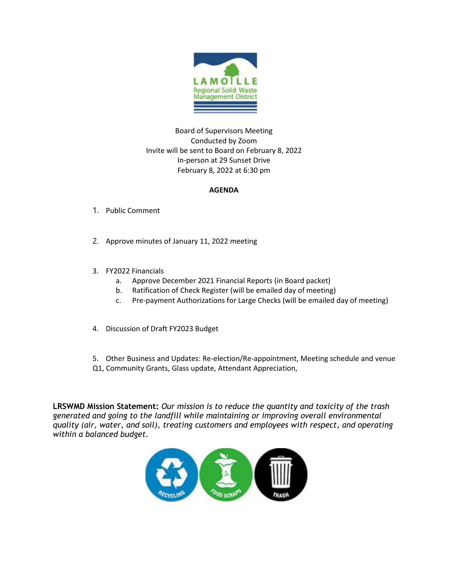

Board of Supervisors Meeting Conducted by Zoom Invite will be sent to Board on February 8, 2022 In-person at 29 Sunset Drive February 8, 2022 at 6:30 pm

#### **AGENDA**

- 1. Public Comment
- 2. Approve minutes of January 11, 2022 meeting
- 3. FY2022 Financials
	- a. Approve December 2021 Financial Reports (in Board packet)
	- b. Ratification of Check Register (will be emailed day of meeting)
	- c. Pre-payment Authorizations for Large Checks (will be emailed day of meeting)
- 4. Discussion of Draft FY2023 Budget
- 5. Other Business and Updates: Re-election/Re-appointment, Meeting schedule and venue Q1, Community Grants, Glass update, Attendant Appreciation,

**LRSWMD Mission Statement:** *Our mission is to reduce the quantity and toxicity of the trash generated and going to the landfill while maintaining or improving overall environmental quality (air, water, and soil), treating customers and employees with respect, and operating within a balanced budget.*

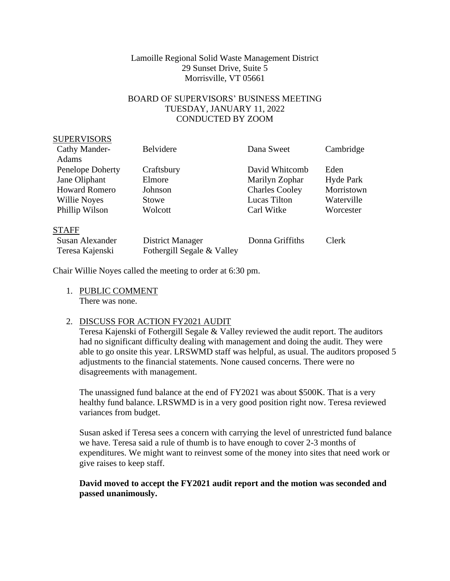#### Lamoille Regional Solid Waste Management District 29 Sunset Drive, Suite 5 Morrisville, VT 05661

#### BOARD OF SUPERVISORS' BUSINESS MEETING TUESDAY, JANUARY 11, 2022 CONDUCTED BY ZOOM

#### SUPERVISORS

| Cathy Mander-        | Belvidere        |                       | Cambridge  |
|----------------------|------------------|-----------------------|------------|
| <b>Adams</b>         |                  |                       |            |
| Penelope Doherty     | Craftsbury       | David Whitcomb        | Eden       |
| Jane Oliphant        | Elmore           | Marilyn Zophar        | Hyde Park  |
| <b>Howard Romero</b> | Johnson          | <b>Charles Cooley</b> | Morristown |
| <b>Willie Noyes</b>  | Stowe            | Lucas Tilton          | Waterville |
| Phillip Wilson       | Wolcott          | Carl Witke            | Worcester  |
| STAFF                |                  |                       |            |
| Susan Alexander      | District Manager | Donna Griffiths       | Clerk      |

Chair Willie Noyes called the meeting to order at 6:30 pm.

Teresa Kajenski Fothergill Segale & Valley

1. PUBLIC COMMENT There was none.

#### 2. DISCUSS FOR ACTION FY2021 AUDIT

Teresa Kajenski of Fothergill Segale & Valley reviewed the audit report. The auditors had no significant difficulty dealing with management and doing the audit. They were able to go onsite this year. LRSWMD staff was helpful, as usual. The auditors proposed 5 adjustments to the financial statements. None caused concerns. There were no disagreements with management.

The unassigned fund balance at the end of FY2021 was about \$500K. That is a very healthy fund balance. LRSWMD is in a very good position right now. Teresa reviewed variances from budget.

Susan asked if Teresa sees a concern with carrying the level of unrestricted fund balance we have. Teresa said a rule of thumb is to have enough to cover 2-3 months of expenditures. We might want to reinvest some of the money into sites that need work or give raises to keep staff.

#### **David moved to accept the FY2021 audit report and the motion was seconded and passed unanimously.**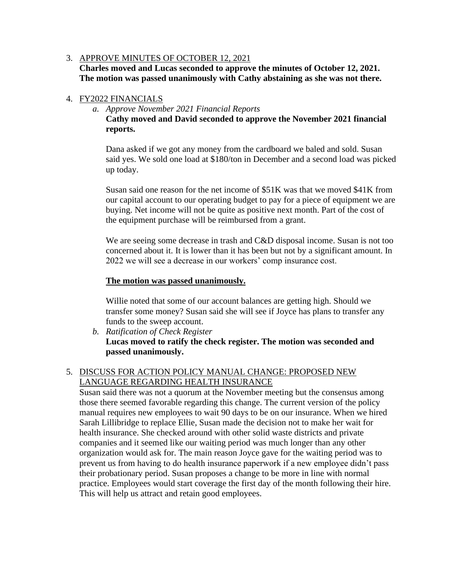#### 3. APPROVE MINUTES OF OCTOBER 12, 2021

**Charles moved and Lucas seconded to approve the minutes of October 12, 2021. The motion was passed unanimously with Cathy abstaining as she was not there.** 

## 4. FY2022 FINANCIALS

## *a. Approve November 2021 Financial Reports*

# **Cathy moved and David seconded to approve the November 2021 financial reports.**

Dana asked if we got any money from the cardboard we baled and sold. Susan said yes. We sold one load at \$180/ton in December and a second load was picked up today.

Susan said one reason for the net income of \$51K was that we moved \$41K from our capital account to our operating budget to pay for a piece of equipment we are buying. Net income will not be quite as positive next month. Part of the cost of the equipment purchase will be reimbursed from a grant.

We are seeing some decrease in trash and C&D disposal income. Susan is not too concerned about it. It is lower than it has been but not by a significant amount. In 2022 we will see a decrease in our workers' comp insurance cost.

# **The motion was passed unanimously.**

Willie noted that some of our account balances are getting high. Should we transfer some money? Susan said she will see if Joyce has plans to transfer any funds to the sweep account.

*b. Ratification of Check Register* **Lucas moved to ratify the check register. The motion was seconded and passed unanimously.**

# 5. DISCUSS FOR ACTION POLICY MANUAL CHANGE: PROPOSED NEW LANGUAGE REGARDING HEALTH INSURANCE

Susan said there was not a quorum at the November meeting but the consensus among those there seemed favorable regarding this change. The current version of the policy manual requires new employees to wait 90 days to be on our insurance. When we hired Sarah Lillibridge to replace Ellie, Susan made the decision not to make her wait for health insurance. She checked around with other solid waste districts and private companies and it seemed like our waiting period was much longer than any other organization would ask for. The main reason Joyce gave for the waiting period was to prevent us from having to do health insurance paperwork if a new employee didn't pass their probationary period. Susan proposes a change to be more in line with normal practice. Employees would start coverage the first day of the month following their hire. This will help us attract and retain good employees.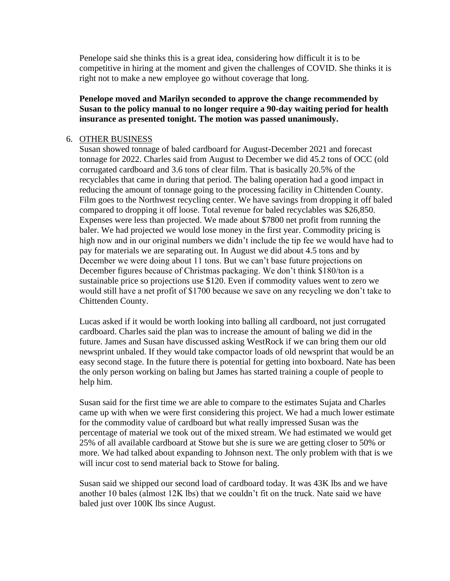Penelope said she thinks this is a great idea, considering how difficult it is to be competitive in hiring at the moment and given the challenges of COVID. She thinks it is right not to make a new employee go without coverage that long.

#### **Penelope moved and Marilyn seconded to approve the change recommended by Susan to the policy manual to no longer require a 90-day waiting period for health insurance as presented tonight. The motion was passed unanimously.**

#### 6. OTHER BUSINESS

Susan showed tonnage of baled cardboard for August-December 2021 and forecast tonnage for 2022. Charles said from August to December we did 45.2 tons of OCC (old corrugated cardboard and 3.6 tons of clear film. That is basically 20.5% of the recyclables that came in during that period. The baling operation had a good impact in reducing the amount of tonnage going to the processing facility in Chittenden County. Film goes to the Northwest recycling center. We have savings from dropping it off baled compared to dropping it off loose. Total revenue for baled recyclables was \$26,850. Expenses were less than projected. We made about \$7800 net profit from running the baler. We had projected we would lose money in the first year. Commodity pricing is high now and in our original numbers we didn't include the tip fee we would have had to pay for materials we are separating out. In August we did about 4.5 tons and by December we were doing about 11 tons. But we can't base future projections on December figures because of Christmas packaging. We don't think \$180/ton is a sustainable price so projections use \$120. Even if commodity values went to zero we would still have a net profit of \$1700 because we save on any recycling we don't take to Chittenden County.

Lucas asked if it would be worth looking into balling all cardboard, not just corrugated cardboard. Charles said the plan was to increase the amount of baling we did in the future. James and Susan have discussed asking WestRock if we can bring them our old newsprint unbaled. If they would take compactor loads of old newsprint that would be an easy second stage. In the future there is potential for getting into boxboard. Nate has been the only person working on baling but James has started training a couple of people to help him.

Susan said for the first time we are able to compare to the estimates Sujata and Charles came up with when we were first considering this project. We had a much lower estimate for the commodity value of cardboard but what really impressed Susan was the percentage of material we took out of the mixed stream. We had estimated we would get 25% of all available cardboard at Stowe but she is sure we are getting closer to 50% or more. We had talked about expanding to Johnson next. The only problem with that is we will incur cost to send material back to Stowe for baling.

Susan said we shipped our second load of cardboard today. It was 43K lbs and we have another 10 bales (almost 12K lbs) that we couldn't fit on the truck. Nate said we have baled just over 100K lbs since August.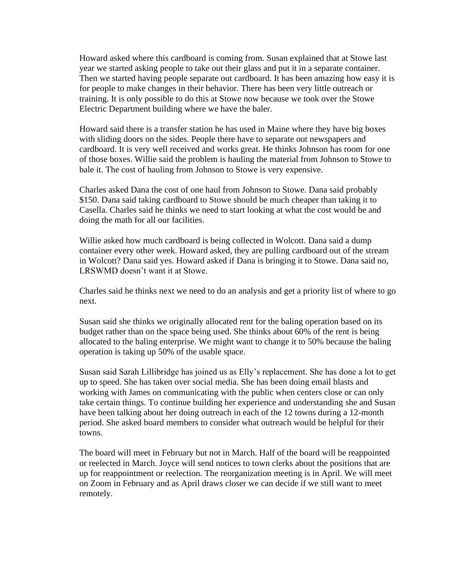Howard asked where this cardboard is coming from. Susan explained that at Stowe last year we started asking people to take out their glass and put it in a separate container. Then we started having people separate out cardboard. It has been amazing how easy it is for people to make changes in their behavior. There has been very little outreach or training. It is only possible to do this at Stowe now because we took over the Stowe Electric Department building where we have the baler.

Howard said there is a transfer station he has used in Maine where they have big boxes with sliding doors on the sides. People there have to separate out newspapers and cardboard. It is very well received and works great. He thinks Johnson has room for one of those boxes. Willie said the problem is hauling the material from Johnson to Stowe to bale it. The cost of hauling from Johnson to Stowe is very expensive.

Charles asked Dana the cost of one haul from Johnson to Stowe. Dana said probably \$150. Dana said taking cardboard to Stowe should be much cheaper than taking it to Casella. Charles said he thinks we need to start looking at what the cost would be and doing the math for all our facilities.

Willie asked how much cardboard is being collected in Wolcott. Dana said a dump container every other week. Howard asked, they are pulling cardboard out of the stream in Wolcott? Dana said yes. Howard asked if Dana is bringing it to Stowe. Dana said no, LRSWMD doesn't want it at Stowe.

Charles said he thinks next we need to do an analysis and get a priority list of where to go next.

Susan said she thinks we originally allocated rent for the baling operation based on its budget rather than on the space being used. She thinks about 60% of the rent is being allocated to the baling enterprise. We might want to change it to 50% because the baling operation is taking up 50% of the usable space.

Susan said Sarah Lillibridge has joined us as Elly's replacement. She has done a lot to get up to speed. She has taken over social media. She has been doing email blasts and working with James on communicating with the public when centers close or can only take certain things. To continue building her experience and understanding she and Susan have been talking about her doing outreach in each of the 12 towns during a 12-month period. She asked board members to consider what outreach would be helpful for their towns.

The board will meet in February but not in March. Half of the board will be reappointed or reelected in March. Joyce will send notices to town clerks about the positions that are up for reappointment or reelection. The reorganization meeting is in April. We will meet on Zoom in February and as April draws closer we can decide if we still want to meet remotely.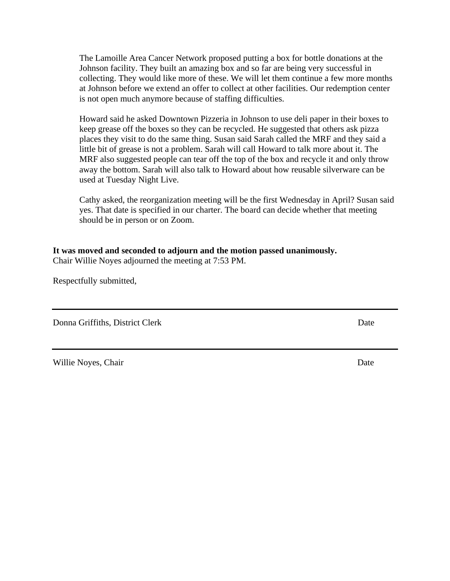The Lamoille Area Cancer Network proposed putting a box for bottle donations at the Johnson facility. They built an amazing box and so far are being very successful in collecting. They would like more of these. We will let them continue a few more months at Johnson before we extend an offer to collect at other facilities. Our redemption center is not open much anymore because of staffing difficulties.

Howard said he asked Downtown Pizzeria in Johnson to use deli paper in their boxes to keep grease off the boxes so they can be recycled. He suggested that others ask pizza places they visit to do the same thing. Susan said Sarah called the MRF and they said a little bit of grease is not a problem. Sarah will call Howard to talk more about it. The MRF also suggested people can tear off the top of the box and recycle it and only throw away the bottom. Sarah will also talk to Howard about how reusable silverware can be used at Tuesday Night Live.

Cathy asked, the reorganization meeting will be the first Wednesday in April? Susan said yes. That date is specified in our charter. The board can decide whether that meeting should be in person or on Zoom.

| It was moved and seconded to adjourn and the motion passed unanimously. |  |  |
|-------------------------------------------------------------------------|--|--|
| Chair Willie Noyes adjourned the meeting at 7:53 PM.                    |  |  |

Respectfully submitted,

Donna Griffiths, District Clerk Date

Willie Noyes, Chair Date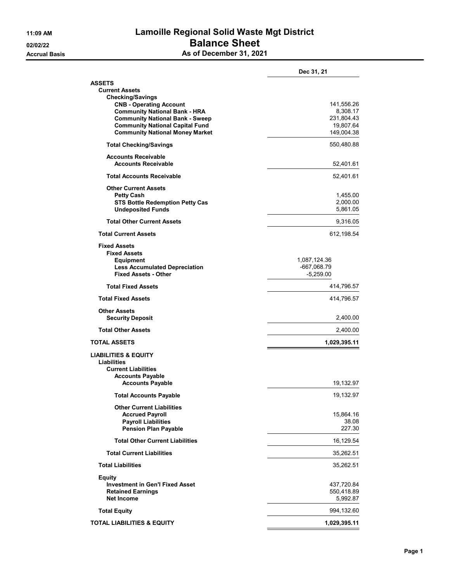# **11:09 AM Lamoille Regional Solid Waste Mgt District 02/02/22 Balance Sheet Accrual Basis As of December 31, 2021**

|                                                                                                                                             | Dec 31, 21                            |
|---------------------------------------------------------------------------------------------------------------------------------------------|---------------------------------------|
| ASSETS                                                                                                                                      |                                       |
| <b>Current Assets</b>                                                                                                                       |                                       |
| <b>Checking/Savings</b><br><b>CNB - Operating Account</b><br><b>Community National Bank - HRA</b><br><b>Community National Bank - Sweep</b> | 141,556.26<br>8,308.17                |
| <b>Community National Capital Fund</b><br><b>Community National Money Market</b>                                                            | 231,804.43<br>19,807.64<br>149,004.38 |
| <b>Total Checking/Savings</b>                                                                                                               | 550,480.88                            |
| <b>Accounts Receivable</b><br><b>Accounts Receivable</b>                                                                                    | 52,401.61                             |
| <b>Total Accounts Receivable</b>                                                                                                            | 52,401.61                             |
| <b>Other Current Assets</b><br><b>Petty Cash</b><br><b>STS Bottle Redemption Petty Cas</b>                                                  | 1,455.00<br>2,000.00                  |
| <b>Undeposited Funds</b>                                                                                                                    | 5,861.05                              |
| <b>Total Other Current Assets</b>                                                                                                           | 9,316.05                              |
| <b>Total Current Assets</b>                                                                                                                 | 612,198.54                            |
| <b>Fixed Assets</b><br><b>Fixed Assets</b>                                                                                                  |                                       |
| <b>Equipment</b>                                                                                                                            | 1,087,124.36                          |
| <b>Less Accumulated Depreciation</b>                                                                                                        | -667,068.79                           |
| <b>Fixed Assets - Other</b><br><b>Total Fixed Assets</b>                                                                                    | $-5,259.00$                           |
|                                                                                                                                             | 414,796.57                            |
| <b>Total Fixed Assets</b>                                                                                                                   | 414,796.57                            |
| <b>Other Assets</b><br><b>Security Deposit</b>                                                                                              | 2,400.00                              |
| <b>Total Other Assets</b>                                                                                                                   | 2,400.00                              |
| TOTAL ASSETS                                                                                                                                | 1,029,395.11                          |
| LIABILITIES & EQUITY<br><b>Liabilities</b><br><b>Current Liabilities</b>                                                                    |                                       |
| <b>Accounts Payable</b><br><b>Accounts Payable</b>                                                                                          | 19,132.97                             |
| <b>Total Accounts Payable</b>                                                                                                               | 19,132.97                             |
| <b>Other Current Liabilities</b>                                                                                                            |                                       |
| <b>Accrued Payroll</b><br><b>Payroll Liabilities</b>                                                                                        | 15,864.16<br>38.08                    |
| <b>Pension Plan Payable</b>                                                                                                                 | 227.30                                |
| <b>Total Other Current Liabilities</b>                                                                                                      | 16,129.54                             |
| <b>Total Current Liabilities</b>                                                                                                            | 35,262.51                             |
| <b>Total Liabilities</b>                                                                                                                    | 35,262.51                             |
| <b>Equity</b>                                                                                                                               |                                       |
| <b>Investment in Gen'l Fixed Asset</b><br><b>Retained Earnings</b>                                                                          | 437,720.84<br>550,418.89              |
| <b>Net Income</b>                                                                                                                           | 5,992.87                              |
| <b>Total Equity</b>                                                                                                                         | 994,132.60                            |
| TOTAL LIABILITIES & EQUITY                                                                                                                  | 1,029,395.11                          |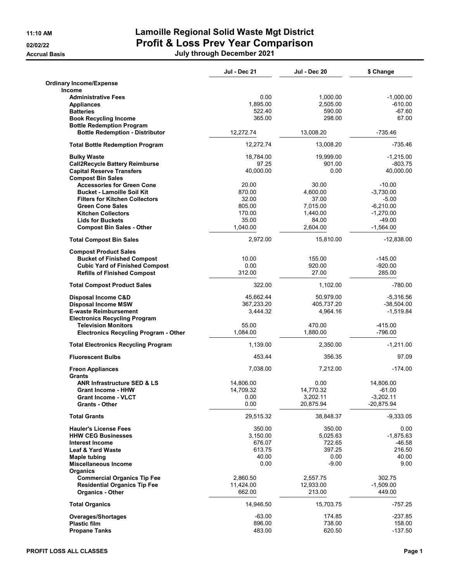# **11:10 AM Lamoille Regional Solid Waste Mgt District 02/02/22 Profit & Loss Prev Year Comparison**

**Accrual Basis July through December 2021**

|                                                                | Jul - Dec 21        | Jul - Dec 20        | \$ Change              |
|----------------------------------------------------------------|---------------------|---------------------|------------------------|
| <b>Ordinary Income/Expense</b><br><b>Income</b>                |                     |                     |                        |
| <b>Administrative Fees</b>                                     | 0.00                | 1,000.00            | $-1,000.00$            |
| <b>Appliances</b>                                              | 1,895.00            | 2,505.00            | $-610.00$              |
| <b>Batteries</b>                                               | 522.40              | 590.00              | $-67.60$               |
| <b>Book Recycling Income</b>                                   | 365.00              | 298.00              | 67.00                  |
| <b>Bottle Redemption Program</b>                               |                     |                     |                        |
| <b>Bottle Redemption - Distributor</b>                         | 12,272.74           | 13,008.20           | $-735.46$              |
| <b>Total Bottle Redemption Program</b>                         | 12,272.74           | 13,008.20           | -735.46                |
| <b>Bulky Waste</b>                                             | 18,784.00           | 19,999.00           | $-1,215.00$            |
| <b>Call2Recycle Battery Reimburse</b>                          | 97.25<br>40,000.00  | 901.00<br>0.00      | $-803.75$<br>40,000.00 |
| <b>Capital Reserve Transfers</b><br><b>Compost Bin Sales</b>   |                     |                     |                        |
| <b>Accessories for Green Cone</b>                              | 20.00               | 30.00               | $-10.00$               |
| <b>Bucket - Lamoille Soil Kit</b>                              | 870.00              | 4,600.00            | $-3,730.00$            |
| <b>Filters for Kitchen Collectors</b>                          | 32.00               | 37.00               | $-5.00$                |
| <b>Green Cone Sales</b>                                        | 805.00              | 7,015.00            | $-6,210.00$            |
| <b>Kitchen Collectors</b>                                      | 170.00              | 1,440.00            | $-1,270.00$            |
| <b>Lids for Buckets</b>                                        | 35.00               | 84.00               | $-49.00$               |
| <b>Compost Bin Sales - Other</b>                               | 1,040.00            | 2,604.00            | $-1,564.00$            |
| <b>Total Compost Bin Sales</b>                                 | 2,972.00            | 15,810.00           | $-12,838.00$           |
| <b>Compost Product Sales</b>                                   |                     |                     |                        |
| <b>Bucket of Finished Compost</b>                              | 10.00               | 155.00              | $-145.00$              |
| <b>Cubic Yard of Finished Compost</b>                          | 0.00                | 920.00              | $-920.00$              |
| <b>Refills of Finished Compost</b>                             | 312.00              | 27.00               | 285.00                 |
| <b>Total Compost Product Sales</b>                             | 322.00              | 1,102.00            | $-780.00$              |
| Disposal Income C&D                                            | 45,662.44           | 50,979.00           | $-5,316.56$            |
| <b>Disposal Income MSW</b>                                     | 367,233.20          | 405,737.20          | $-38,504.00$           |
| <b>E-waste Reimbursement</b>                                   | 3,444.32            | 4,964.16            | $-1,519.84$            |
| <b>Electronics Recycling Program</b>                           |                     |                     |                        |
| <b>Television Monitors</b>                                     | 55.00               | 470.00              | -415.00                |
| <b>Electronics Recycling Program - Other</b>                   | 1,084.00            | 1,880.00            | $-796.00$              |
| <b>Total Electronics Recycling Program</b>                     | 1,139.00            | 2,350.00            | $-1,211.00$            |
| <b>Fluorescent Bulbs</b>                                       | 453.44              | 356.35              | 97.09                  |
| <b>Freon Appliances</b><br><b>Grants</b>                       | 7,038.00            | 7.212.00            | $-174.00$              |
| <b>ANR Infrastructure SED &amp; LS</b>                         | 14,806.00           | 0.00                | 14,806.00              |
| <b>Grant Income - HHW</b>                                      | 14,709.32           | 14,770.32           | $-61.00$               |
| Grant Income - VLCT                                            | 0.00                | 3,202.11            | -3,202.11              |
| Grants - Other                                                 | 0.00                | 20,875.94           | $-20,875.94$           |
| <b>Total Grants</b>                                            | 29,515.32           | 38,848.37           | $-9,333.05$            |
| <b>Hauler's License Fees</b>                                   | 350.00              | 350.00              | 0.00                   |
| <b>HHW CEG Businesses</b>                                      | 3,150.00            | 5,025.63            | $-1,875.63$            |
| Interest Income                                                | 676.07              | 722.65              | -46.58                 |
| <b>Leaf &amp; Yard Waste</b>                                   | 613.75              | 397.25              | 216.50                 |
| Maple tubing                                                   | 40.00               | 0.00                | 40.00                  |
| <b>Miscellaneous Income</b>                                    | 0.00                | $-9.00$             | 9.00                   |
| Organics                                                       |                     |                     |                        |
| <b>Commercial Organics Tip Fee</b>                             | 2,860.50            | 2,557.75            | 302.75                 |
| <b>Residential Organics Tip Fee</b><br><b>Organics - Other</b> | 11,424.00<br>662.00 | 12,933.00<br>213.00 | $-1,509.00$<br>449.00  |
| <b>Total Organics</b>                                          | 14,946.50           | 15,703.75           | $-757.25$              |
| Overages/Shortages                                             | $-63.00$            | 174.85              | $-237.85$              |
| <b>Plastic film</b>                                            | 896.00              | 738.00              | 158.00                 |
| <b>Propane Tanks</b>                                           | 483.00              | 620.50              | $-137.50$              |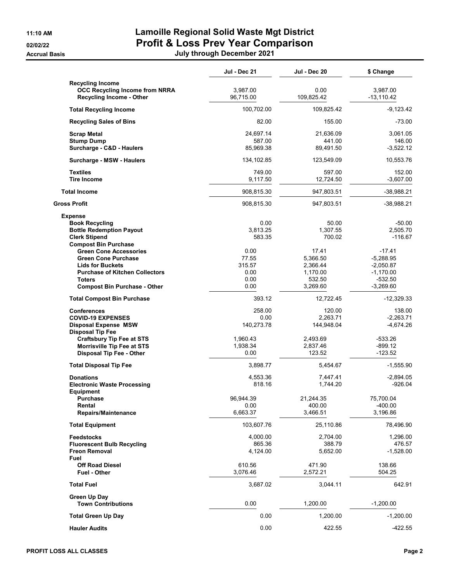# **11:10 AM Lamoille Regional Solid Waste Mgt District 02/02/22 Profit & Loss Prev Year Comparison**

**Accrual Basis July through December 2021**

|                                                                                                                                                                                                        | Jul - Dec 21                                                 | Jul - Dec 20                                                       | \$ Change                                                                   |
|--------------------------------------------------------------------------------------------------------------------------------------------------------------------------------------------------------|--------------------------------------------------------------|--------------------------------------------------------------------|-----------------------------------------------------------------------------|
| <b>Recycling Income</b><br><b>OCC Recycling Income from NRRA</b><br><b>Recycling Income - Other</b>                                                                                                    | 3,987.00<br>96,715.00                                        | 0.00<br>109,825.42                                                 | 3,987.00<br>$-13,110.42$                                                    |
| <b>Total Recycling Income</b>                                                                                                                                                                          | 100,702.00                                                   | 109,825.42                                                         | $-9,123.42$                                                                 |
| <b>Recycling Sales of Bins</b>                                                                                                                                                                         | 82.00                                                        | 155.00                                                             | $-73.00$                                                                    |
| <b>Scrap Metal</b><br><b>Stump Dump</b><br>Surcharge - C&D - Haulers                                                                                                                                   | 24,697.14<br>587.00<br>85,969.38                             | 21,636.09<br>441.00<br>89,491.50                                   | 3,061.05<br>146.00<br>$-3,522.12$                                           |
| Surcharge - MSW - Haulers                                                                                                                                                                              | 134,102.85                                                   | 123,549.09                                                         | 10,553.76                                                                   |
| <b>Textiles</b><br><b>Tire Income</b>                                                                                                                                                                  | 749.00<br>9,117.50                                           | 597.00<br>12,724.50                                                | 152.00<br>$-3,607.00$                                                       |
| <b>Total Income</b>                                                                                                                                                                                    | 908,815.30                                                   | 947,803.51                                                         | $-38,988.21$                                                                |
| Gross Profit                                                                                                                                                                                           | 908,815.30                                                   | 947,803.51                                                         | -38,988.21                                                                  |
| <b>Expense</b>                                                                                                                                                                                         |                                                              |                                                                    |                                                                             |
| <b>Book Recycling</b><br><b>Bottle Redemption Payout</b><br><b>Clerk Stipend</b><br><b>Compost Bin Purchase</b>                                                                                        | 0.00<br>3,813.25<br>583.35                                   | 50.00<br>1,307.55<br>700.02                                        | $-50.00$<br>2,505.70<br>$-116.67$                                           |
| <b>Green Cone Accessories</b><br><b>Green Cone Purchase</b><br><b>Lids for Buckets</b><br><b>Purchase of Kitchen Collectors</b><br><b>Toters</b>                                                       | 0.00<br>77.55<br>315.57<br>0.00<br>0.00                      | 17.41<br>5,366.50<br>2,366.44<br>1,170.00<br>532.50                | $-17.41$<br>$-5,288.95$<br>-2,050.87<br>$-1,170.00$<br>$-532.50$            |
| <b>Compost Bin Purchase - Other</b>                                                                                                                                                                    | 0.00                                                         | 3,269.60                                                           | $-3,269.60$                                                                 |
| <b>Total Compost Bin Purchase</b>                                                                                                                                                                      | 393.12                                                       | 12,722.45                                                          | $-12,329.33$                                                                |
| <b>Conferences</b><br><b>COVID-19 EXPENSES</b><br><b>Disposal Expense MSW</b><br><b>Disposal Tip Fee</b><br><b>Craftsbury Tip Fee at STS</b><br>Morrisville Tip Fee at STS<br>Disposal Tip Fee - Other | 258.00<br>0.00<br>140,273.78<br>1,960.43<br>1,938.34<br>0.00 | 120.00<br>2,263.71<br>144,948.04<br>2,493.69<br>2,837.46<br>123.52 | 138.00<br>$-2,263.71$<br>$-4,674.26$<br>$-533.26$<br>$-899.12$<br>$-123.52$ |
| <b>Total Disposal Tip Fee</b>                                                                                                                                                                          | 3,898.77                                                     | 5,454.67                                                           | $-1,555.90$                                                                 |
| <b>Donations</b><br><b>Electronic Waste Processing</b><br><b>Equipment</b>                                                                                                                             | 4,553.36<br>818.16                                           | 7,447.41<br>1,744.20                                               | $-2,894.05$<br>$-926.04$                                                    |
| <b>Purchase</b><br>Rental<br><b>Repairs/Maintenance</b>                                                                                                                                                | 96,944.39<br>0.00<br>6,663.37                                | 21,244.35<br>400.00<br>3,466.51                                    | 75,700.04<br>$-400.00$<br>3.196.86                                          |
| <b>Total Equipment</b>                                                                                                                                                                                 | 103,607.76                                                   | 25,110.86                                                          | 78,496.90                                                                   |
| <b>Feedstocks</b><br><b>Fluorescent Bulb Recycling</b><br><b>Freon Removal</b><br>Fuel                                                                                                                 | 4,000.00<br>865.36<br>4,124.00                               | 2,704.00<br>388.79<br>5,652.00                                     | 1,296.00<br>476.57<br>$-1,528.00$                                           |
| <b>Off Road Diesel</b><br><b>Fuel - Other</b>                                                                                                                                                          | 610.56<br>3,076.46                                           | 471.90<br>2,572.21                                                 | 138.66<br>504.25                                                            |
| <b>Total Fuel</b>                                                                                                                                                                                      | 3,687.02                                                     | 3,044.11                                                           | 642.91                                                                      |
| Green Up Day<br><b>Town Contributions</b>                                                                                                                                                              | 0.00                                                         | 1,200.00                                                           | $-1,200.00$                                                                 |
| <b>Total Green Up Day</b>                                                                                                                                                                              | 0.00                                                         | 1,200.00                                                           | $-1,200.00$                                                                 |
| <b>Hauler Audits</b>                                                                                                                                                                                   | 0.00                                                         | 422.55                                                             | $-422.55$                                                                   |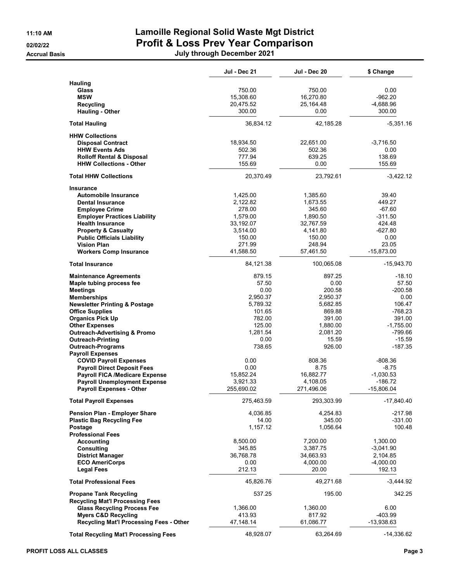# **11:10 AM Lamoille Regional Solid Waste Mgt District 02/02/22 Profit & Loss Prev Year Comparison Accrual Basis July through December 2021**

|                                                                         | Jul - Dec 21          | Jul - Dec 20          | \$ Change                |
|-------------------------------------------------------------------------|-----------------------|-----------------------|--------------------------|
| <b>Hauling</b>                                                          |                       |                       |                          |
| Glass                                                                   | 750.00                | 750.00                | 0.00                     |
| <b>MSW</b>                                                              | 15,308.60             | 16,270.80             | $-962.20$                |
| <b>Recycling</b>                                                        | 20,475.52             | 25, 164. 48           | -4,688.96                |
| <b>Hauling - Other</b>                                                  | 300.00                | 0.00                  | 300.00                   |
| <b>Total Hauling</b>                                                    | 36,834.12             | 42,185.28             | $-5,351.16$              |
| <b>HHW Collections</b>                                                  |                       |                       |                          |
| <b>Disposal Contract</b>                                                | 18,934.50             | 22,651.00             | $-3,716.50$              |
| <b>HHW Events Ads</b>                                                   | 502.36                | 502.36                | 0.00                     |
| <b>Rolloff Rental &amp; Disposal</b>                                    | 777.94                | 639.25                | 138.69                   |
| <b>HHW Collections - Other</b>                                          | 155.69                | 0.00                  | 155.69                   |
| <b>Total HHW Collections</b>                                            | 20,370.49             | 23,792.61             | $-3,422.12$              |
| Insurance                                                               |                       |                       |                          |
| <b>Automobile Insurance</b>                                             | 1,425.00              | 1,385.60              | 39.40                    |
| <b>Dental Insurance</b>                                                 | 2,122.82              | 1,673.55              | 449.27                   |
| <b>Employee Crime</b>                                                   | 278.00                | 345.60                | $-67.60$                 |
| <b>Employer Practices Liability</b>                                     | 1,579.00<br>33,192.07 | 1,890.50<br>32,767.59 | $-311.50$                |
| <b>Health Insurance</b><br><b>Property &amp; Casualty</b>               | 3,514.00              | 4,141.80              | 424.48<br>$-627.80$      |
| <b>Public Officials Liability</b>                                       | 150.00                | 150.00                | 0.00                     |
| <b>Vision Plan</b>                                                      | 271.99                | 248.94                | 23.05                    |
| <b>Workers Comp Insurance</b>                                           | 41,588.50             | 57,461.50             | $-15,873.00$             |
| <b>Total Insurance</b>                                                  | 84,121.38             | 100,065.08            | $-15,943.70$             |
| <b>Maintenance Agreements</b>                                           | 879.15                | 897.25                | $-18.10$                 |
| Maple tubing process fee                                                | 57.50                 | 0.00                  | 57.50                    |
| <b>Meetings</b>                                                         | 0.00                  | 200.58                | $-200.58$                |
| <b>Memberships</b>                                                      | 2,950.37              | 2,950.37              | 0.00                     |
| <b>Newsletter Printing &amp; Postage</b>                                | 5,789.32              | 5,682.85              | 106.47                   |
| <b>Office Supplies</b>                                                  | 101.65                | 869.88                | $-768.23$                |
| <b>Organics Pick Up</b>                                                 | 782.00                | 391.00                | 391.00                   |
| <b>Other Expenses</b>                                                   | 125.00                | 1,880.00              | $-1,755.00$<br>$-799.66$ |
| <b>Outreach-Advertising &amp; Promo</b>                                 | 1,281.54<br>0.00      | 2,081.20<br>15.59     | $-15.59$                 |
| <b>Outreach-Printing</b><br><b>Outreach-Programs</b>                    | 738.65                | 926.00                | $-187.35$                |
| <b>Payroll Expenses</b>                                                 |                       |                       |                          |
| <b>COVID Payroll Expenses</b>                                           | 0.00                  | 808.36                | $-808.36$                |
| <b>Payroll Direct Deposit Fees</b>                                      | 0.00                  | 8.75                  | $-8.75$                  |
| Payroll FICA / Medicare Expense                                         | 15,852.24             | 16,882.77             | $-1,030.53$              |
| <b>Payroll Unemployment Expense</b>                                     | 3,921.33              | 4,108.05              | $-186.72$                |
| <b>Payroll Expenses - Other</b>                                         | 255,690.02            | 271,496.06            | -15,806.04               |
| <b>Total Payroll Expenses</b>                                           | 275,463.59            | 293,303.99            | $-17,840.40$             |
| Pension Plan - Employer Share                                           | 4,036.85              | 4,254.83              | $-217.98$                |
| <b>Plastic Bag Recycling Fee</b>                                        | 14.00                 | 345.00                | $-331.00$                |
| Postage                                                                 | 1,157.12              | 1,056.64              | 100.48                   |
| <b>Professional Fees</b>                                                |                       |                       |                          |
| <b>Accounting</b>                                                       | 8,500.00              | 7,200.00              | 1,300.00                 |
| Consulting                                                              | 345.85                | 3,387.75              | $-3,041.90$              |
| <b>District Manager</b>                                                 | 36,768.78             | 34,663.93             | 2,104.85                 |
| <b>ECO AmeriCorps</b>                                                   | 0.00                  | 4,000.00              | $-4,000.00$              |
| <b>Legal Fees</b>                                                       | 212.13                | 20.00                 | 192.13                   |
| <b>Total Professional Fees</b>                                          | 45,826.76             | 49,271.68             | $-3,444.92$              |
| <b>Propane Tank Recycling</b><br><b>Recycling Mat'l Processing Fees</b> | 537.25                | 195.00                | 342.25                   |
| <b>Glass Recycling Process Fee</b>                                      | 1,366.00              | 1,360.00              | 6.00                     |
| <b>Myers C&amp;D Recycling</b>                                          | 413.93                | 817.92                | -403.99                  |
| Recycling Mat'l Processing Fees - Other                                 | 47,148.14             | 61,086.77             | -13,938.63               |
|                                                                         |                       |                       |                          |
| <b>Total Recycling Mat'l Processing Fees</b>                            | 48,928.07             | 63,264.69             | -14,336.62               |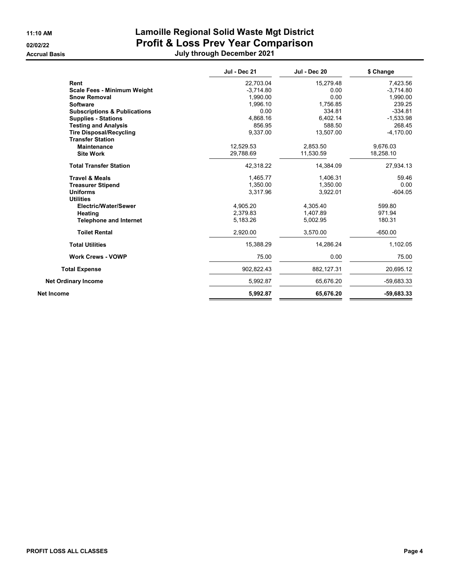**Accrual Basis** 

# **11:10 AM Lamoille Regional Solid Waste Mgt District** 02/02/22<br>**Profit & Loss Prev Year Comparison**<br>July through December 2021

|  |  | uly through December 2021 |  |
|--|--|---------------------------|--|
|--|--|---------------------------|--|

|                                         | <b>Jul - Dec 21</b> | Jul - Dec 20 | \$ Change    |
|-----------------------------------------|---------------------|--------------|--------------|
| Rent                                    | 22,703.04           | 15,279.48    | 7,423.56     |
| <b>Scale Fees - Minimum Weight</b>      | $-3.714.80$         | 0.00         | $-3,714.80$  |
| <b>Snow Removal</b>                     | 1,990.00            | 0.00         | 1,990.00     |
| <b>Software</b>                         | 1.996.10            | 1,756.85     | 239.25       |
| <b>Subscriptions &amp; Publications</b> | 0.00                | 334.81       | $-334.81$    |
| <b>Supplies - Stations</b>              | 4,868.16            | 6,402.14     | $-1,533.98$  |
| <b>Testing and Analysis</b>             | 856.95              | 588.50       | 268.45       |
| <b>Tire Disposal/Recycling</b>          | 9,337.00            | 13,507.00    | $-4,170.00$  |
| <b>Transfer Station</b>                 |                     |              |              |
| <b>Maintenance</b>                      | 12,529.53           | 2,853.50     | 9,676.03     |
| <b>Site Work</b>                        | 29,788.69           | 11,530.59    | 18,258.10    |
| <b>Total Transfer Station</b>           | 42,318.22           | 14,384.09    | 27,934.13    |
| <b>Travel &amp; Meals</b>               | 1,465.77            | 1,406.31     | 59.46        |
| <b>Treasurer Stipend</b>                | 1,350.00            | 1,350.00     | 0.00         |
| <b>Uniforms</b>                         | 3,317.96            | 3,922.01     | $-604.05$    |
| <b>Utilities</b>                        |                     |              |              |
| Electric/Water/Sewer                    | 4,905.20            | 4,305.40     | 599.80       |
| Heating                                 | 2,379.83            | 1,407.89     | 971.94       |
| <b>Telephone and Internet</b>           | 5,183.26            | 5,002.95     | 180.31       |
| <b>Toilet Rental</b>                    | 2,920.00            | 3,570.00     | $-650.00$    |
| <b>Total Utilities</b>                  | 15,388.29           | 14,286.24    | 1,102.05     |
| <b>Work Crews - VOWP</b>                | 75.00               | 0.00         | 75.00        |
| <b>Total Expense</b>                    | 902,822.43          | 882, 127.31  | 20,695.12    |
| <b>Net Ordinary Income</b>              | 5,992.87            | 65,676.20    | $-59,683.33$ |
| Net Income                              | 5,992.87            | 65,676.20    | $-59,683.33$ |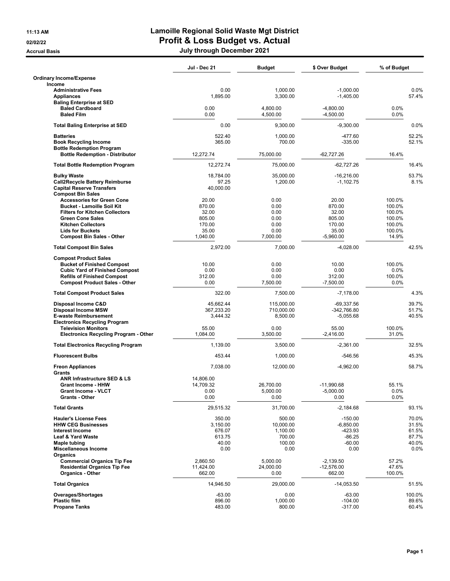# **11:13 AM Lamoille Regional Solid Waste Mgt District 02/02/22 Profit & Loss Budget vs. Actual**

| <b>Accrual Basis</b> | July through December 2021 |
|----------------------|----------------------------|
|                      |                            |

|                                                                                                                                                                                                                                                                    | Jul - Dec 21                                                      | <b>Budget</b>                                               | \$ Over Budget                                                       | % of Budget                                                       |
|--------------------------------------------------------------------------------------------------------------------------------------------------------------------------------------------------------------------------------------------------------------------|-------------------------------------------------------------------|-------------------------------------------------------------|----------------------------------------------------------------------|-------------------------------------------------------------------|
| <b>Ordinary Income/Expense</b><br>Income                                                                                                                                                                                                                           |                                                                   |                                                             |                                                                      |                                                                   |
| <b>Administrative Fees</b><br><b>Appliances</b><br><b>Baling Enterprise at SED</b>                                                                                                                                                                                 | 0.00<br>1,895.00                                                  | 1,000.00<br>3,300.00                                        | $-1,000.00$<br>$-1,405.00$                                           | 0.0%<br>57.4%                                                     |
| <b>Baled Cardboard</b><br><b>Baled Film</b>                                                                                                                                                                                                                        | 0.00<br>0.00                                                      | 4,800.00<br>4,500.00                                        | $-4,800.00$<br>$-4,500.00$                                           | 0.0%<br>0.0%                                                      |
| <b>Total Baling Enterprise at SED</b>                                                                                                                                                                                                                              | 0.00                                                              | 9,300.00                                                    | $-9,300.00$                                                          | 0.0%                                                              |
| <b>Batteries</b>                                                                                                                                                                                                                                                   | 522.40                                                            | 1,000.00                                                    | -477.60                                                              | 52.2%                                                             |
| <b>Book Recycling Income</b><br><b>Bottle Redemption Program</b>                                                                                                                                                                                                   | 365.00                                                            | 700.00                                                      | $-335.00$                                                            | 52.1%                                                             |
| <b>Bottle Redemption - Distributor</b>                                                                                                                                                                                                                             | 12,272.74                                                         | 75,000.00                                                   | $-62.727.26$                                                         | 16.4%                                                             |
| <b>Total Bottle Redemption Program</b>                                                                                                                                                                                                                             | 12,272.74                                                         | 75,000.00                                                   | -62,727.26                                                           | 16.4%                                                             |
| <b>Bulky Waste</b><br><b>Call2Recycle Battery Reimburse</b><br><b>Capital Reserve Transfers</b>                                                                                                                                                                    | 18,784.00<br>97.25<br>40,000.00                                   | 35,000.00<br>1,200.00                                       | $-16,216.00$<br>$-1,102.75$                                          | 53.7%<br>8.1%                                                     |
| <b>Compost Bin Sales</b><br><b>Accessories for Green Cone</b><br><b>Bucket - Lamoille Soil Kit</b><br><b>Filters for Kitchen Collectors</b><br><b>Green Cone Sales</b><br><b>Kitchen Collectors</b><br><b>Lids for Buckets</b><br><b>Compost Bin Sales - Other</b> | 20.00<br>870.00<br>32.00<br>805.00<br>170.00<br>35.00<br>1,040.00 | 0.00<br>0.00<br>0.00<br>0.00<br>0.00<br>0.00<br>7,000.00    | 20.00<br>870.00<br>32.00<br>805.00<br>170.00<br>35.00<br>$-5,960.00$ | 100.0%<br>100.0%<br>100.0%<br>100.0%<br>100.0%<br>100.0%<br>14.9% |
| <b>Total Compost Bin Sales</b>                                                                                                                                                                                                                                     | 2.972.00                                                          | 7,000.00                                                    | $-4.028.00$                                                          | 42.5%                                                             |
| <b>Compost Product Sales</b><br><b>Bucket of Finished Compost</b><br><b>Cubic Yard of Finished Compost</b><br><b>Refills of Finished Compost</b><br><b>Compost Product Sales - Other</b>                                                                           | 10.00<br>0.00<br>312.00<br>0.00                                   | 0.00<br>0.00<br>0.00<br>7,500.00                            | 10.00<br>0.00<br>312.00<br>$-7,500.00$                               | 100.0%<br>0.0%<br>100.0%<br>0.0%                                  |
| <b>Total Compost Product Sales</b>                                                                                                                                                                                                                                 | 322.00                                                            | 7,500.00                                                    | $-7,178.00$                                                          | 4.3%                                                              |
| Disposal Income C&D<br><b>Disposal Income MSW</b><br><b>E-waste Reimbursement</b><br><b>Electronics Recycling Program</b><br><b>Television Monitors</b>                                                                                                            | 45,662.44<br>367,233.20<br>3,444.32<br>55.00                      | 115,000.00<br>710,000.00<br>8,500.00<br>0.00                | -69,337.56<br>$-342,766.80$<br>$-5,055.68$<br>55.00                  | 39.7%<br>51.7%<br>40.5%<br>100.0%                                 |
| Electronics Recycling Program - Other                                                                                                                                                                                                                              | 1,084.00                                                          | 3,500.00                                                    | $-2,416.00$                                                          | 31.0%                                                             |
| <b>Total Electronics Recycling Program</b>                                                                                                                                                                                                                         | 1,139.00                                                          | 3,500.00                                                    | $-2.361.00$                                                          | 32.5%                                                             |
| <b>Fluorescent Bulbs</b>                                                                                                                                                                                                                                           | 453.44                                                            | 1,000.00                                                    | -546.56                                                              | 45.3%                                                             |
| <b>Freon Appliances</b><br>Grants<br><b>ANR Infrastructure SED &amp; LS</b>                                                                                                                                                                                        | 7,038.00<br>14,806.00                                             | 12,000.00                                                   | -4,962.00                                                            | 58.7%                                                             |
| <b>Grant Income - HHW</b><br>Grant Income - VLCT<br><b>Grants - Other</b>                                                                                                                                                                                          | 14,709.32<br>0.00<br>0.00                                         | 26.700.00<br>5,000.00<br>0.00                               | $-11,990.68$<br>-5,000.00<br>0.00                                    | 55.1%<br>0.0%<br>0.0%                                             |
| <b>Total Grants</b>                                                                                                                                                                                                                                                | 29,515.32                                                         | 31,700.00                                                   | $-2,184.68$                                                          | 93.1%                                                             |
| <b>Hauler's License Fees</b><br><b>HHW CEG Businesses</b><br><b>Interest Income</b><br>Leaf & Yard Waste<br><b>Maple tubing</b><br><b>Miscellaneous Income</b><br>Organics                                                                                         | 350.00<br>3,150.00<br>676.07<br>613.75<br>40.00<br>0.00           | 500.00<br>10,000.00<br>1,100.00<br>700.00<br>100.00<br>0.00 | $-150.00$<br>$-6,850.00$<br>-423.93<br>$-86.25$<br>$-60.00$<br>0.00  | 70.0%<br>31.5%<br>61.5%<br>87.7%<br>40.0%<br>0.0%                 |
| <b>Commercial Organics Tip Fee</b><br><b>Residential Organics Tip Fee</b><br><b>Organics - Other</b>                                                                                                                                                               | 2,860.50<br>11,424.00<br>662.00                                   | 5,000.00<br>24,000.00<br>0.00                               | $-2,139.50$<br>$-12,576.00$<br>662.00                                | 57.2%<br>47.6%<br>100.0%                                          |
| <b>Total Organics</b>                                                                                                                                                                                                                                              | 14,946.50                                                         | 29,000.00                                                   | $-14,053.50$                                                         | 51.5%                                                             |
| <b>Overages/Shortages</b><br><b>Plastic film</b><br><b>Propane Tanks</b>                                                                                                                                                                                           | $-63.00$<br>896.00<br>483.00                                      | 0.00<br>1,000.00<br>800.00                                  | $-63.00$<br>$-104.00$<br>$-317.00$                                   | 100.0%<br>89.6%<br>60.4%                                          |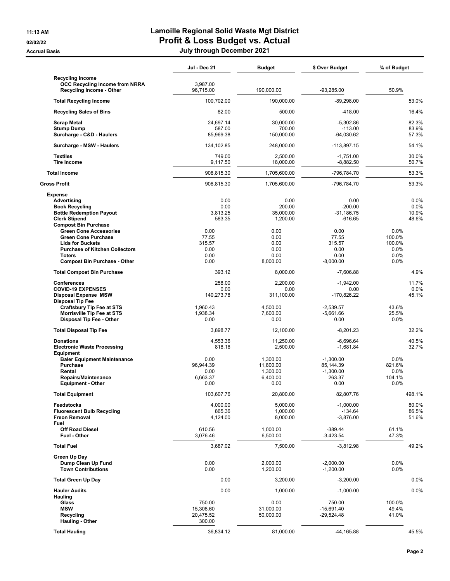#### **11:13 AM Lamoille Regional Solid Waste Mgt District 02/02/22 Profit & Loss Budget vs. Actual Accrual Basis July through December 2021**

|                                                                  | Jul - Dec 21        | <b>Budget</b>         | \$ Over Budget             | % of Budget      |
|------------------------------------------------------------------|---------------------|-----------------------|----------------------------|------------------|
| <b>Recycling Income</b><br><b>OCC Recycling Income from NRRA</b> | 3,987.00            |                       |                            |                  |
| Recycling Income - Other                                         | 96,715.00           | 190,000.00            | $-93,285.00$               | 50.9%            |
| <b>Total Recycling Income</b>                                    | 100,702.00          | 190,000.00            | $-89,298.00$               | 53.0%            |
| <b>Recycling Sales of Bins</b>                                   | 82.00               | 500.00                | $-418.00$                  | 16.4%            |
| <b>Scrap Metal</b>                                               | 24,697.14           | 30,000.00             | $-5,302.86$                | 82.3%            |
| <b>Stump Dump</b><br>Surcharge - C&D - Haulers                   | 587.00<br>85,969.38 | 700.00<br>150,000.00  | $-113.00$<br>$-64,030.62$  | 83.9%<br>57.3%   |
| Surcharge - MSW - Haulers                                        | 134,102.85          | 248,000.00            | -113,897.15                | 54.1%            |
| <b>Textiles</b><br><b>Tire Income</b>                            | 749.00<br>9,117.50  | 2,500.00<br>18,000.00 | $-1,751.00$<br>$-8,882.50$ | 30.0%<br>50.7%   |
| <b>Total Income</b>                                              | 908,815.30          | 1,705,600.00          | -796,784.70                | 53.3%            |
| Gross Profit                                                     | 908,815.30          | 1,705,600.00          | -796,784.70                | 53.3%            |
| <b>Expense</b>                                                   |                     |                       |                            |                  |
| Advertising                                                      | 0.00                | 0.00                  | 0.00                       | 0.0%             |
| <b>Book Recycling</b><br><b>Bottle Redemption Payout</b>         | 0.00                | 200.00<br>35,000.00   | $-200.00$<br>$-31,186.75$  | 0.0%<br>10.9%    |
| <b>Clerk Stipend</b>                                             | 3,813.25<br>583.35  | 1,200.00              | $-616.65$                  | 48.6%            |
| <b>Compost Bin Purchase</b>                                      |                     |                       |                            |                  |
| <b>Green Cone Accessories</b>                                    | 0.00                | 0.00                  | 0.00                       | 0.0%             |
| <b>Green Cone Purchase</b><br><b>Lids for Buckets</b>            | 77.55<br>315.57     | 0.00<br>0.00          | 77.55<br>315.57            | 100.0%<br>100.0% |
| <b>Purchase of Kitchen Collectors</b>                            | 0.00                | 0.00                  | 0.00                       | 0.0%             |
| <b>Toters</b>                                                    | 0.00                | 0.00                  | 0.00                       | 0.0%             |
| <b>Compost Bin Purchase - Other</b>                              | 0.00                | 8,000.00              | $-8.000.00$                | 0.0%             |
| <b>Total Compost Bin Purchase</b>                                | 393.12              | 8,000.00              | $-7,606.88$                | 4.9%             |
| <b>Conferences</b>                                               | 258.00              | 2,200.00              | $-1,942.00$                | 11.7%            |
| <b>COVID-19 EXPENSES</b>                                         | 0.00                | 0.00                  | 0.00                       | 0.0%             |
| <b>Disposal Expense MSW</b><br><b>Disposal Tip Fee</b>           | 140,273.78          | 311,100.00            | -170,826.22                | 45.1%            |
| <b>Craftsbury Tip Fee at STS</b>                                 | 1,960.43            | 4,500.00              | $-2,539.57$                | 43.6%            |
| <b>Morrisville Tip Fee at STS</b>                                | 1,938.34            | 7,600.00              | $-5,661.66$                | 25.5%            |
| Disposal Tip Fee - Other                                         | 0.00                | 0.00                  | 0.00                       | $0.0\%$          |
| <b>Total Disposal Tip Fee</b>                                    | 3,898.77            | 12,100.00             | $-8,201.23$                | 32.2%            |
| <b>Donations</b>                                                 | 4,553.36            | 11,250.00             | $-6,696.64$                | 40.5%            |
| <b>Electronic Waste Processing</b>                               | 818.16              | 2,500.00              | $-1,681.84$                | 32.7%            |
| Equipment<br><b>Baler Equipment Maintenance</b>                  | 0.00                | 1,300.00              | $-1,300.00$                | 0.0%             |
| <b>Purchase</b>                                                  | 96,944.39           | 11,800.00             | 85,144.39                  | 821.6%           |
| Rental                                                           | 0.00                | 1,300.00              | $-1,300.00$                | 0.0%             |
| <b>Repairs/Maintenance</b>                                       | 6,663.37            | 6,400.00              | 263.37                     | 104.1%           |
| <b>Equipment - Other</b>                                         | 0.00                | 0.00                  | 0.00                       | 0.0%             |
| <b>Total Equipment</b>                                           | 103,607.76          | 20,800.00             | 82,807.76                  | 498.1%           |
| <b>Feedstocks</b>                                                | 4,000.00            | 5,000.00              | $-1,000.00$<br>$-134.64$   | 80.0%            |
| <b>Fluorescent Bulb Recycling</b><br><b>Freon Removal</b>        | 865.36<br>4,124.00  | 1,000.00<br>8,000.00  | $-3,876.00$                | 86.5%<br>51.6%   |
| Fuel                                                             |                     |                       |                            |                  |
| <b>Off Road Diesel</b><br>Fuel - Other                           | 610.56<br>3,076.46  | 1,000.00<br>6,500.00  | $-389.44$<br>$-3,423.54$   | 61.1%<br>47.3%   |
| <b>Total Fuel</b>                                                | 3,687.02            | 7,500.00              | $-3,812.98$                | 49.2%            |
| Green Up Day                                                     |                     |                       |                            |                  |
| Dump Clean Up Fund                                               | 0.00                | 2,000.00              | $-2,000.00$                | 0.0%             |
| <b>Town Contributions</b>                                        | 0.00                | 1,200.00              | $-1,200.00$                | 0.0%             |
| <b>Total Green Up Day</b>                                        | 0.00                | 3,200.00              | $-3,200.00$                | 0.0%             |
| <b>Hauler Audits</b><br><b>Hauling</b>                           | 0.00                | 1,000.00              | $-1,000.00$                | 0.0%             |
| Glass                                                            | 750.00              | 0.00                  | 750.00                     | 100.0%           |
| <b>MSW</b>                                                       | 15,308.60           | 31,000.00             | $-15,691.40$               | 49.4%            |
| Recycling<br><b>Hauling - Other</b>                              | 20,475.52<br>300.00 | 50,000.00             | $-29,524.48$               | 41.0%            |
|                                                                  |                     |                       |                            |                  |
| <b>Total Hauling</b>                                             | 36,834.12           | 81,000.00             | -44,165.88                 | 45.5%            |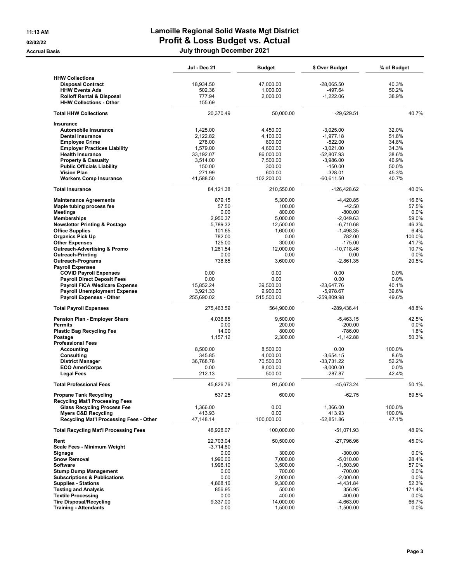#### **11:13 AM Lamoille Regional Solid Waste Mgt District 02/02/22 Profit & Loss Budget vs. Actual Accrual Basis July through December 2021**

|                                                                           | Jul - Dec 21        | <b>Budget</b>         | \$ Over Budget              | % of Budget     |
|---------------------------------------------------------------------------|---------------------|-----------------------|-----------------------------|-----------------|
| <b>HHW Collections</b>                                                    |                     |                       |                             |                 |
| <b>Disposal Contract</b>                                                  | 18,934.50           | 47,000.00             | -28,065.50                  | 40.3%           |
| <b>HHW Events Ads</b>                                                     | 502.36              | 1,000.00              | $-497.64$                   | 50.2%           |
| <b>Rolloff Rental &amp; Disposal</b><br><b>HHW Collections - Other</b>    | 777.94<br>155.69    | 2,000.00              | $-1,222.06$                 | 38.9%           |
| <b>Total HHW Collections</b>                                              | 20,370.49           | 50,000.00             | $-29.629.51$                | 40.7%           |
| Insurance                                                                 |                     |                       |                             |                 |
| Automobile Insurance                                                      | 1,425.00            | 4,450.00              | $-3,025.00$                 | 32.0%           |
| <b>Dental Insurance</b>                                                   | 2,122.82            | 4,100.00              | $-1,977.18$                 | 51.8%           |
| <b>Employee Crime</b>                                                     | 278.00              | 800.00                | $-522.00$                   | 34.8%           |
| <b>Employer Practices Liability</b>                                       | 1,579.00            | 4,600.00              | $-3,021.00$                 | 34.3%           |
| <b>Health Insurance</b>                                                   | 33,192.07           | 86.000.00             | -52.807.93                  | 38.6%           |
| <b>Property &amp; Casualty</b>                                            | 3,514.00            | 7,500.00              | $-3,986.00$                 | 46.9%           |
| <b>Public Officials Liability</b>                                         | 150.00              | 300.00                | $-150.00$                   | 50.0%           |
| <b>Vision Plan</b><br><b>Workers Comp Insurance</b>                       | 271.99<br>41,588.50 | 600.00<br>102,200.00  | $-328.01$<br>$-60,611.50$   | 45.3%<br>40.7%  |
| <b>Total Insurance</b>                                                    | 84,121.38           | 210,550.00            | -126,428.62                 | 40.0%           |
| <b>Maintenance Agreements</b>                                             | 879.15              | 5,300.00              | $-4,420.85$                 | 16.6%           |
| Maple tubing process fee                                                  | 57.50               | 100.00                | $-42.50$                    | 57.5%           |
| <b>Meetings</b>                                                           | 0.00                | 800.00                | $-800.00$                   | 0.0%            |
| <b>Memberships</b>                                                        | 2,950.37            | 5,000.00              | $-2,049.63$                 | 59.0%           |
| <b>Newsletter Printing &amp; Postage</b>                                  | 5.789.32            | 12,500.00             | $-6,710.68$                 | 46.3%           |
| <b>Office Supplies</b>                                                    | 101.65              | 1,600.00              | $-1,498.35$                 | 6.4%            |
| <b>Organics Pick Up</b>                                                   | 782.00              | 0.00                  | 782.00                      | 100.0%          |
| <b>Other Expenses</b>                                                     | 125.00              | 300.00                | $-175.00$                   | 41.7%           |
| <b>Outreach-Advertising &amp; Promo</b>                                   | 1,281.54            | 12.000.00             | $-10,718.46$                | 10.7%           |
| <b>Outreach-Printing</b>                                                  | 0.00                | 0.00                  | 0.00                        | 0.0%            |
| <b>Outreach-Programs</b>                                                  | 738.65              | 3,600.00              | $-2,861.35$                 | 20.5%           |
| <b>Payroll Expenses</b><br><b>COVID Payroll Expenses</b>                  | 0.00                | 0.00                  | 0.00                        | 0.0%            |
| <b>Payroll Direct Deposit Fees</b>                                        | 0.00                | 0.00                  | 0.00                        | 0.0%            |
| Payroll FICA /Medicare Expense                                            | 15.852.24           | 39,500.00             | $-23,647.76$                | 40.1%           |
| <b>Payroll Unemployment Expense</b>                                       | 3,921.33            | 9,900.00              | $-5,978.67$                 | 39.6%           |
| <b>Payroll Expenses - Other</b>                                           | 255,690.02          | 515,500.00            | -259,809.98                 | 49.6%           |
| <b>Total Payroll Expenses</b>                                             | 275,463.59          | 564,900.00            | -289,436.41                 | 48.8%           |
| Pension Plan - Employer Share                                             | 4,036.85            | 9,500.00              | $-5,463.15$                 | 42.5%           |
| <b>Permits</b>                                                            | 0.00                | 200.00                | $-200.00$                   | 0.0%            |
| <b>Plastic Bag Recycling Fee</b>                                          | 14.00               | 800.00                | $-786.00$                   | 1.8%            |
| Postage                                                                   | 1,157.12            | 2,300.00              | $-1,142.88$                 | 50.3%           |
| <b>Professional Fees</b>                                                  |                     |                       |                             |                 |
| <b>Accounting</b>                                                         | 8,500.00            | 8,500.00              | 0.00                        | 100.0%          |
| Consulting                                                                | 345.85              | 4,000.00              | $-3.654.15$                 | 8.6%<br>52.2%   |
| <b>District Manager</b><br><b>ECO AmeriCorps</b>                          | 36,768.78<br>0.00   | 70,500.00<br>8,000.00 | $-33,731.22$<br>$-8,000.00$ | $0.0\%$         |
| <b>Legal Fees</b>                                                         | 212.13              | 500.00                | $-287.87$                   | 42.4%           |
| <b>Total Professional Fees</b>                                            | 45,826.76           | 91,500.00             | -45.673.24                  | 50.1%           |
| <b>Propane Tank Recycling</b>                                             | 537.25              | 600.00                | $-62.75$                    | 89.5%           |
| <b>Recycling Mat'l Processing Fees</b>                                    |                     |                       |                             | 100.0%          |
| <b>Glass Recycling Process Fee</b>                                        | 1.366.00            | 0.00<br>0.00          | 1,366.00                    |                 |
| <b>Myers C&amp;D Recycling</b><br>Recycling Mat'l Processing Fees - Other | 413.93<br>47,148.14 | 100,000.00            | 413.93<br>$-52,851.86$      | 100.0%<br>47.1% |
| <b>Total Recycling Mat'l Processing Fees</b>                              | 48,928.07           | 100,000.00            | $-51,071.93$                | 48.9%           |
| Rent                                                                      | 22,703.04           | 50,500.00             | -27,796.96                  | 45.0%           |
| <b>Scale Fees - Minimum Weight</b>                                        | $-3,714.80$         |                       |                             |                 |
| Signage                                                                   | 0.00                | 300.00                | $-300.00$                   | 0.0%            |
| <b>Snow Removal</b>                                                       | 1,990.00            | 7,000.00              | $-5,010.00$                 | 28.4%           |
| <b>Software</b>                                                           | 1,996.10            | 3,500.00              | $-1,503.90$                 | 57.0%           |
| <b>Stump Dump Management</b>                                              | 0.00                | 700.00                | $-700.00$                   | 0.0%            |
| <b>Subscriptions &amp; Publications</b><br><b>Supplies - Stations</b>     | 0.00                | 2,000.00              | $-2,000.00$                 | 0.0%            |
|                                                                           | 4,868.16<br>856.95  | 9,300.00              | -4,431.84                   | 52.3%<br>171.4% |
| <b>Testing and Analysis</b><br><b>Textile Processing</b>                  | 0.00                | 500.00<br>400.00      | 356.95<br>$-400.00$         | 0.0%            |
| <b>Tire Disposal/Recycling</b>                                            | 9,337.00            | 14,000.00             | $-4,663.00$                 | 66.7%           |
| <b>Training - Attendants</b>                                              | 0.00                | 1,500.00              | $-1,500.00$                 | 0.0%            |
|                                                                           |                     |                       |                             |                 |